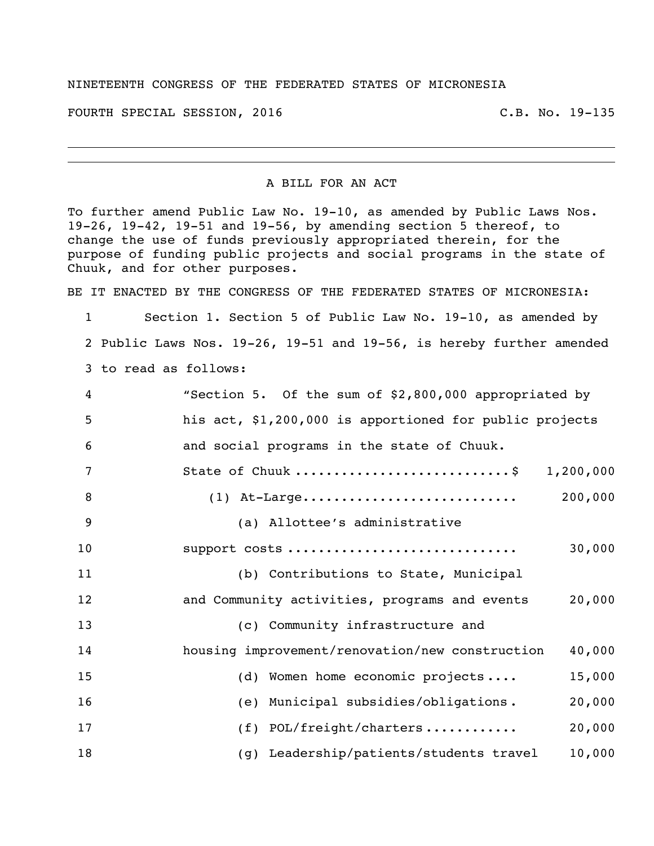## NINETEENTH CONGRESS OF THE FEDERATED STATES OF MICRONESIA

FOURTH SPECIAL SESSION, 2016 C.B. No. 19-135

## A BILL FOR AN ACT

To further amend Public Law No. 19-10, as amended by Public Laws Nos. 19-26, 19-42, 19-51 and 19-56, by amending section 5 thereof, to change the use of funds previously appropriated therein, for the purpose of funding public projects and social programs in the state of Chuuk, and for other purposes.

BE IT ENACTED BY THE CONGRESS OF THE FEDERATED STATES OF MICRONESIA:

 Section 1. Section 5 of Public Law No. 19-10, as amended by Public Laws Nos. 19-26, 19-51 and 19-56, is hereby further amended to read as follows:

| 4              | "Section 5. Of the sum of \$2,800,000 appropriated by     |
|----------------|-----------------------------------------------------------|
| 5              | his act, \$1,200,000 is apportioned for public projects   |
| 6              | and social programs in the state of Chuuk.                |
| 7              | State of Chuuk \$<br>1,200,000                            |
| 8              | 200,000<br>$(1)$ At-Large                                 |
| $\overline{9}$ | (a) Allottee's administrative                             |
| 10             | 30,000<br>support costs                                   |
| 11             | (b) Contributions to State, Municipal                     |
| 12             | and Community activities, programs and events<br>20,000   |
| 13             | (c) Community infrastructure and                          |
| 14             | housing improvement/renovation/new construction<br>40,000 |
| 15             | (d) Women home economic projects<br>15,000                |
| 16             | (e) Municipal subsidies/obligations.<br>20,000            |
| 17             | (f) POL/freight/charters<br>20,000                        |
| 18             | (g) Leadership/patients/students travel<br>10,000         |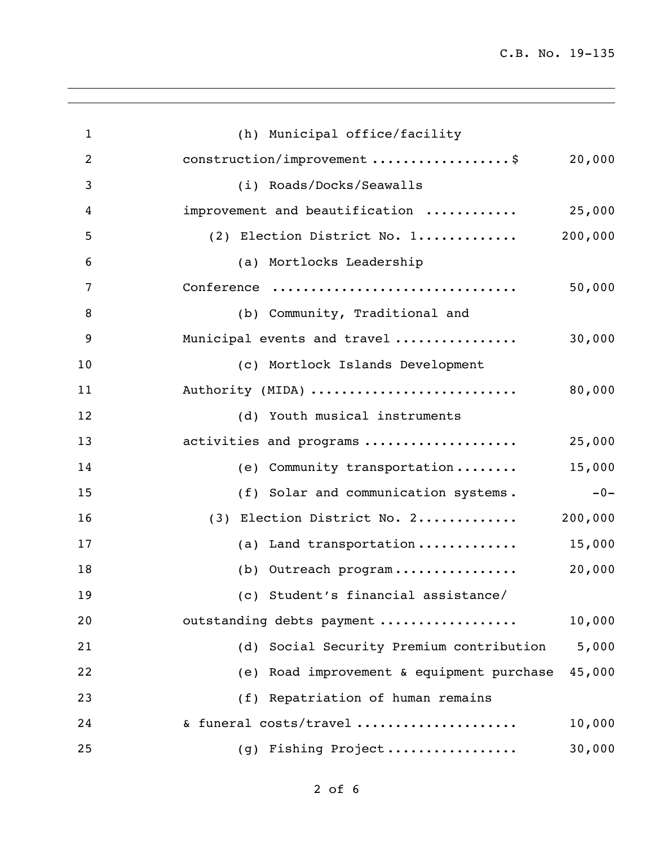| $\mathbf{1}$   | (h) Municipal office/facility             |         |
|----------------|-------------------------------------------|---------|
| $\overline{2}$ | construction/improvement \$               | 20,000  |
| 3              | (i) Roads/Docks/Seawalls                  |         |
| 4              | improvement and beautification            | 25,000  |
| 5              | (2) Election District No. 1               | 200,000 |
| 6              | (a) Mortlocks Leadership                  |         |
| 7              | Conference                                | 50,000  |
| 8              | (b) Community, Traditional and            |         |
| 9              | Municipal events and travel               | 30,000  |
| 10             | (c) Mortlock Islands Development          |         |
| 11             | Authority (MIDA)                          | 80,000  |
| 12             | (d) Youth musical instruments             |         |
| 13             | activities and programs                   | 25,000  |
| 14             | (e) Community transportation              | 15,000  |
| 15             | (f) Solar and communication systems.      | $-0-$   |
| 16             | (3) Election District No. 2               | 200,000 |
| 17             | (a) Land transportation                   | 15,000  |
| 18             | (b) Outreach program                      | 20,000  |
| 19             | (c) Student's financial assistance/       |         |
| 20             | outstanding debts payment                 | 10,000  |
| 21             | (d) Social Security Premium contribution  | 5,000   |
| 22             | (e) Road improvement & equipment purchase | 45,000  |
| 23             | (f) Repatriation of human remains         |         |
| 24             | & funeral costs/travel                    | 10,000  |
| 25             | (g) Fishing Project                       | 30,000  |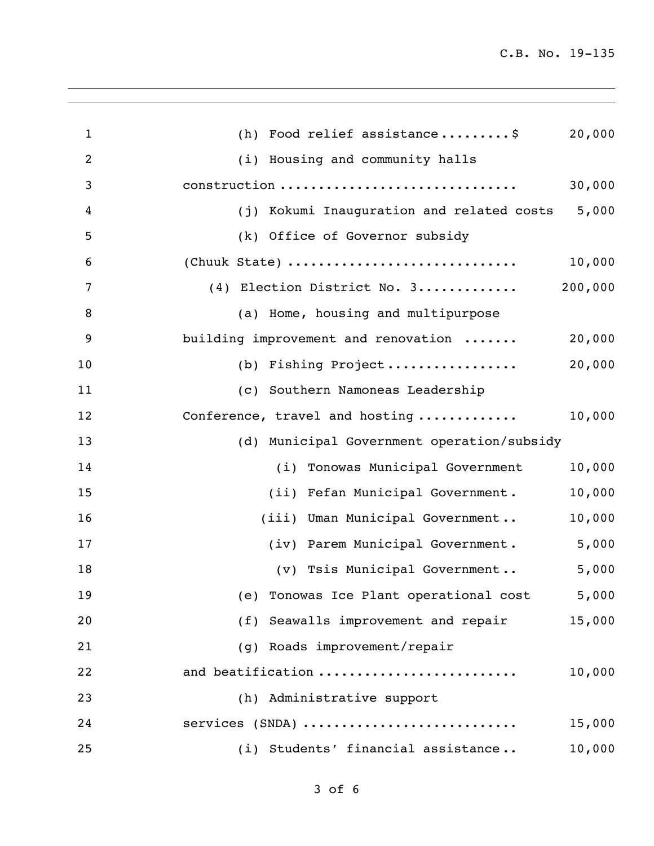C.B. No. 19-135

| $\mathbf{1}$   | (h) Food relief assistance\$<br>20,000          |
|----------------|-------------------------------------------------|
| 2              | (i) Housing and community halls                 |
| 3              | 30,000<br>construction                          |
| 4              | (j) Kokumi Inauguration and related costs 5,000 |
| 5              | (k) Office of Governor subsidy                  |
| 6              | (Chuuk State)<br>10,000                         |
| $\overline{7}$ | $(4)$ Election District No. 3 200,000           |
| 8              | (a) Home, housing and multipurpose              |
| 9              | building improvement and renovation<br>20,000   |
| 10             | 20,000<br>(b) Fishing Project                   |
| 11             | (c) Southern Namoneas Leadership                |
| 12             | 10,000<br>Conference, travel and hosting        |
| 13             | (d) Municipal Government operation/subsidy      |
| 14             | (i) Tonowas Municipal Government<br>10,000      |
| 15             | 10,000<br>(ii) Fefan Municipal Government.      |
| 16             | 10,000<br>(iii) Uman Municipal Government       |
| 17             | (iv) Parem Municipal Government. 5,000          |
| 18             | 5,000<br>(v) Tsis Municipal Government          |
| 19             | (e) Tonowas Ice Plant operational cost 5,000    |
| 20             | (f) Seawalls improvement and repair<br>15,000   |
| 21             | (q) Roads improvement/repair                    |
| 22             | and beatification<br>10,000                     |
| 23             | (h) Administrative support                      |
| 24             | 15,000<br>services (SNDA)                       |
| 25             | (i) Students' financial assistance<br>10,000    |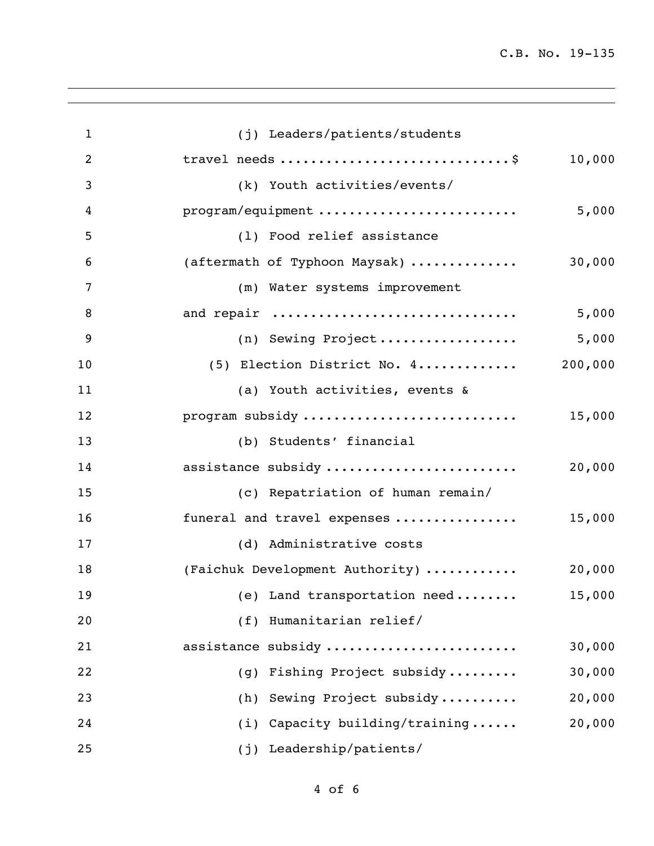| $\mathbf{1}$   | (j) Leaders/patients/students     |         |
|----------------|-----------------------------------|---------|
| $\overline{2}$ | travel needs \$                   | 10,000  |
| 3              | (k) Youth activities/events/      |         |
| 4              | program/equipment                 | 5,000   |
| 5              | (1) Food relief assistance        |         |
| 6              | (aftermath of Typhoon Maysak)     | 30,000  |
| $\overline{7}$ | (m) Water systems improvement     |         |
| 8              | and repair                        | 5,000   |
| 9              | (n) Sewing Project                | 5,000   |
| 10             | (5) Election District No. 4       | 200,000 |
| 11             | (a) Youth activities, events &    |         |
| 12             | program subsidy                   | 15,000  |
| 13             | (b) Students' financial           |         |
| 14             | assistance subsidy                | 20,000  |
| 15             | (c) Repatriation of human remain/ |         |
| 16             | funeral and travel expenses       | 15,000  |
| 17             | (d) Administrative costs          |         |
| 18             | (Faichuk Development Authority)   | 20,000  |
| 19             | (e) Land transportation need      | 15,000  |
| 20             | (f) Humanitarian relief/          |         |
| 21             | assistance subsidy                | 30,000  |
| 22             | Fishing Project subsidy<br>(q)    | 30,000  |
| 23             | Sewing Project subsidy<br>(h)     | 20,000  |
| 24             | Capacity building/training<br>(i) | 20,000  |
| 25             | Leadership/patients/<br>(j)       |         |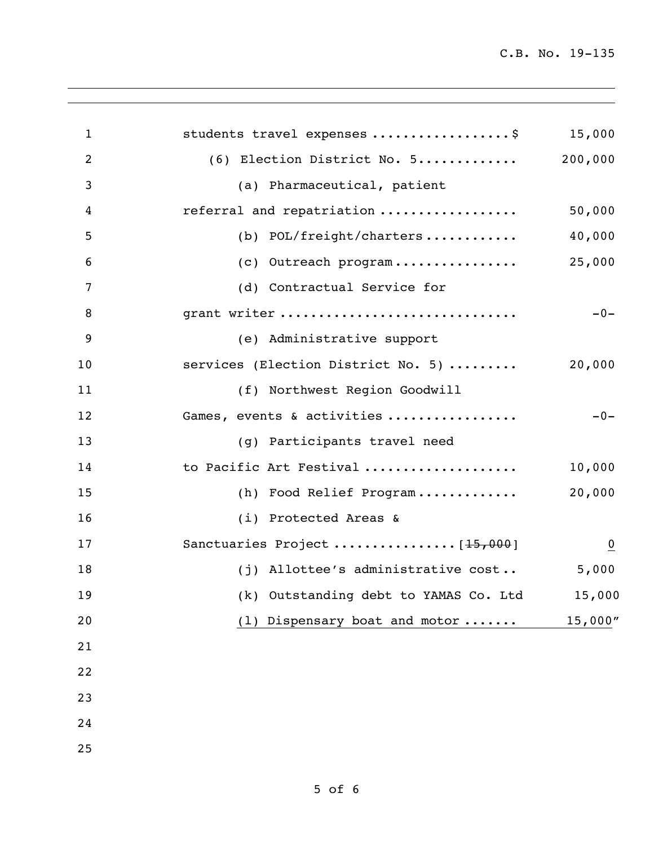C.B. No. 19-135

| $\mathbf{1}$ | students travel expenses \$           | 15,000         |
|--------------|---------------------------------------|----------------|
| 2            | (6) Election District No. 5           | 200,000        |
| 3            | (a) Pharmaceutical, patient           |                |
| 4            | referral and repatriation             | 50,000         |
| 5            | (b) POL/freight/charters              | 40,000         |
| 6            | (c) Outreach program                  | 25,000         |
| 7            | (d) Contractual Service for           |                |
| 8            | grant writer                          | $-0-$          |
| 9            | (e) Administrative support            |                |
| 10           | services (Election District No. 5)    | 20,000         |
| 11           | (f) Northwest Region Goodwill         |                |
| 12           | Games, events & activities            | $-0-$          |
| 13           | (g) Participants travel need          |                |
| 14           | to Pacific Art Festival               | 10,000         |
| 15           | (h) Food Relief Program               | 20,000         |
| 16           | (i) Protected Areas &                 |                |
| 17           | Sanctuaries Project  [15,000]         | $\overline{0}$ |
| 18           | (j) Allottee's administrative cost    | 5,000          |
| 19           | (k) Outstanding debt to YAMAS Co. Ltd | 15,000         |
| 20           | Dispensary boat and motor<br>(1)      | 15,000''       |
| 21           |                                       |                |
| 22           |                                       |                |
| 23           |                                       |                |
| 24           |                                       |                |
| 25           |                                       |                |